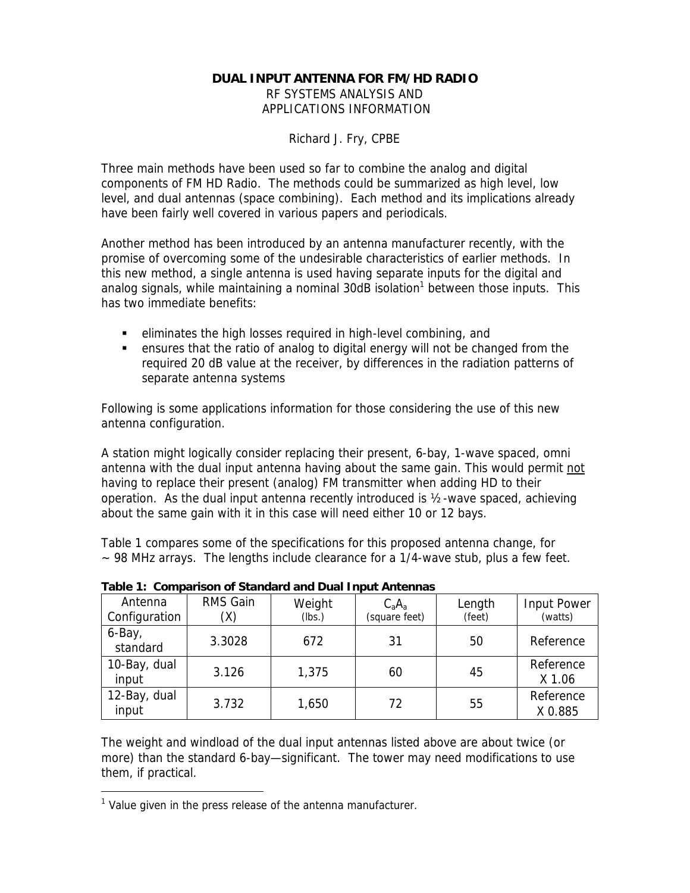## **DUAL INPUT ANTENNA FOR FM/HD RADIO**

*RF SYSTEMS ANALYSIS AND APPLICATIONS INFORMATION*

Richard J. Fry, CPBE

Three main methods have been used so far to combine the analog and digital components of FM HD Radio. The methods could be summarized as high level, low level, and dual antennas (space combining). Each method and its implications already have been fairly well covered in various papers and periodicals.

Another method has been introduced by an antenna manufacturer recently, with the promise of overcoming some of the undesirable characteristics of earlier methods. In this new method, a single antenna is used having separate inputs for the digital and analog signals, while maintaining a nominal  $30$ dB isolation<sup>1</sup> between those inputs. This has two immediate benefits:

- $\blacksquare$  eliminates the high losses required in high-level combining, and
- **EXECT** ensures that the ratio of analog to digital energy will not be changed from the required 20 dB value at the receiver, by differences in the radiation patterns of separate antenna systems

Following is some applications information for those considering the use of this new antenna configuration.

A station might logically consider replacing their present, 6-bay, 1-wave spaced, omni antenna with the dual input antenna having about the same gain. This would permit not having to replace their present (analog) FM transmitter when adding HD to their operation. As the dual input antenna recently introduced is ½-wave spaced, achieving about the same gain with it in this case will need either 10 or 12 bays.

Table 1 compares some of the specifications for this proposed antenna change, for  $\sim$  98 MHz arrays. The lengths include clearance for a 1/4-wave stub, plus a few feet.

| Antenna<br>Configuration | RMS Gain<br>(X) | Weight<br>(lbs.) | $C_aA_a$<br>(square feet) | Length<br>(feet) | Input Power<br>(watts) |
|--------------------------|-----------------|------------------|---------------------------|------------------|------------------------|
| 6-Bay,<br>standard       | 3.3028          | 672              | 31                        | 50               | Reference              |
| 10-Bay, dual<br>input    | 3.126           | 1,375            | 60                        | 45               | Reference<br>X 1.06    |
| 12-Bay, dual<br>input    | 3.732           | 1,650            | 72                        | 55               | Reference<br>X 0.885   |

**Table 1: Comparison of Standard and Dual Input Antennas**

The weight and windload of the dual input antennas listed above are about twice (or more) than the standard 6-bay—significant. The tower may need modifications to use them, if practical.

-

<sup>&</sup>lt;sup>1</sup> Value given in the press release of the antenna manufacturer.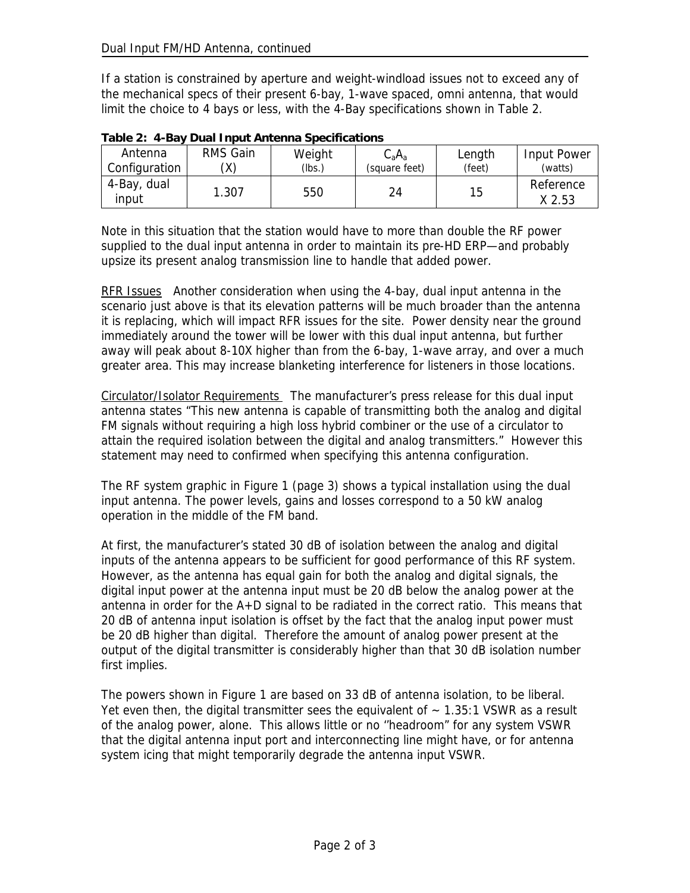If a station is constrained by aperture and weight-windload issues not to exceed any of the mechanical specs of their present 6-bay, 1-wave spaced, omni antenna, that would limit the choice to 4 bays or less, with the 4-Bay specifications shown in Table 2.

| Antenna              | RMS Gain | Weight | $C_{\rm a}A_{\rm a}$ | Length | Input Power         |
|----------------------|----------|--------|----------------------|--------|---------------------|
| Configuration        |          | (lbs.) | (square feet)        | (feet) | (watts)             |
| 4-Bay, dual<br>input | 1.307    | 550    | 24                   | 15     | Reference<br>X 2.53 |

|  |  | Table 2: 4-Bay Dual Input Antenna Specifications |  |
|--|--|--------------------------------------------------|--|
|--|--|--------------------------------------------------|--|

Note in this situation that the station would have to more than double the RF power supplied to the dual input antenna in order to maintain its pre-HD ERP—and probably upsize its present analog transmission line to handle that added power.

RFR Issues Another consideration when using the 4-bay, dual input antenna in the scenario just above is that its elevation patterns will be much broader than the antenna it is replacing, which will impact RFR issues for the site. Power density near the ground immediately around the tower will be lower with this dual input antenna, but further away will peak about 8-10X higher than from the 6-bay, 1-wave array, and over a much greater area. This may increase blanketing interference for listeners in those locations.

Circulator/Isolator Requirements The manufacturer's press release for this dual input antenna states "This new antenna is capable of transmitting both the analog and digital FM signals without requiring a high loss hybrid combiner or the use of a circulator to attain the required isolation between the digital and analog transmitters." However this statement may need to confirmed when specifying this antenna configuration.

The RF system graphic in Figure 1 (page 3) shows a typical installation using the dual input antenna. The power levels, gains and losses correspond to a 50 kW analog operation in the middle of the FM band.

At first, the manufacturer's stated 30 dB of isolation between the analog and digital inputs of the antenna appears to be sufficient for good performance of this RF system. However, as the antenna has equal gain for both the analog and digital signals, the digital input power at the antenna input must be 20 dB below the analog power at the antenna in order for the A+D signal to be radiated in the correct ratio. This means that 20 dB of antenna input isolation is offset by the fact that the analog input power must be 20 dB higher than digital. Therefore the amount of analog power present at the output of the digital transmitter is considerably higher than that 30 dB isolation number first implies.

The powers shown in Figure 1 are based on 33 dB of antenna isolation, to be liberal. Yet even then, the digital transmitter sees the equivalent of  $\sim$  1.35:1 VSWR as a result of the analog power, alone. This allows little or no ''headroom" for any system VSWR that the digital antenna input port and interconnecting line might have, or for antenna system icing that might temporarily degrade the antenna input VSWR.